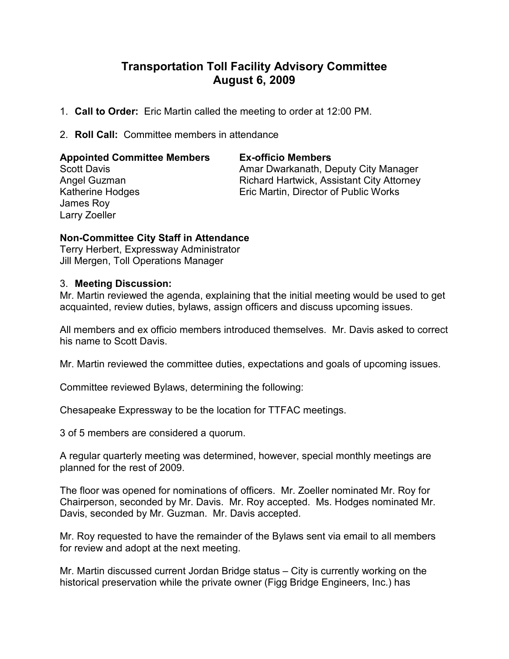# Transportation Toll Facility Advisory Committee August 6, 2009

- 1. Call to Order: Eric Martin called the meeting to order at 12:00 PM.
- 2. Roll Call: Committee members in attendance

### Appointed Committee Members Ex-officio Members

James Roy Larry Zoeller

Scott Davis **Amar Dwarkanath, Deputy City Manager** Amar Dwarkanath, Deputy City Manager Angel Guzman **Richard Hartwick, Assistant City Attorney** Katherine Hodges **Eric Martin, Director of Public Works** 

## Non-Committee City Staff in Attendance

Terry Herbert, Expressway Administrator Jill Mergen, Toll Operations Manager

### 3. Meeting Discussion:

Mr. Martin reviewed the agenda, explaining that the initial meeting would be used to get acquainted, review duties, bylaws, assign officers and discuss upcoming issues.

All members and ex officio members introduced themselves. Mr. Davis asked to correct his name to Scott Davis.

Mr. Martin reviewed the committee duties, expectations and goals of upcoming issues.

Committee reviewed Bylaws, determining the following:

Chesapeake Expressway to be the location for TTFAC meetings.

3 of 5 members are considered a quorum.

A regular quarterly meeting was determined, however, special monthly meetings are planned for the rest of 2009.

The floor was opened for nominations of officers. Mr. Zoeller nominated Mr. Roy for Chairperson, seconded by Mr. Davis. Mr. Roy accepted. Ms. Hodges nominated Mr. Davis, seconded by Mr. Guzman. Mr. Davis accepted.

Mr. Roy requested to have the remainder of the Bylaws sent via email to all members for review and adopt at the next meeting.

Mr. Martin discussed current Jordan Bridge status – City is currently working on the historical preservation while the private owner (Figg Bridge Engineers, Inc.) has